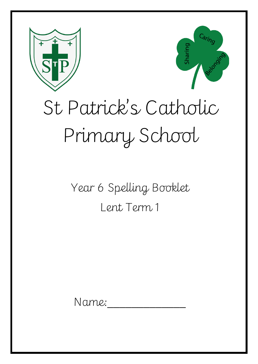



# St Patrick's Catholic Primary School

# Year 6 Spelling Booklet Lent Term 1

Name: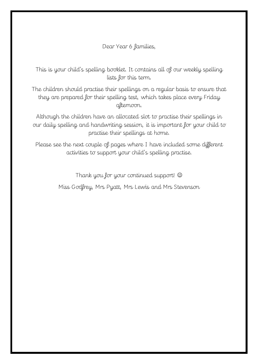#### Dear Year 6 families,

This is your child's spelling booklet. It contains all of our weekly spelling lists for this term.

The children should practise their spellings on a regular basis to ensure that they are prepared for their spelling test, which takes place every Friday afternoon.

Although the children have an allocated slot to practise their spellings in our daily spelling and handwriting session, it is important for your child to practise their spellings at home.

Please see the next couple of pages where I have included some different activities to support your child's spelling practise.

Thank you for your continued support!

Miss Godfrey, Mrs Pyatt, Mrs Lewis and Mrs Stevenson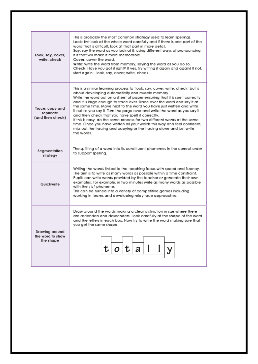| Look, say, cover,<br>write, check                | This is probably the most common strategy used to learn spellings.<br>Look: first look at the whole word carefully and if there is one part of the<br>word that is difficult, look at that part in more detail.<br>Say: say the word as you look at it, using different ways of pronouncing<br>it if that will make it more memorable.<br>Cover: cover the word.<br>Write: write the word from memory, saying the word as you do so.<br>Check: Have you got it right? If yes, try writing it again and again! If not,<br>start again - look, say, cover, write, check.                                                                                                                                                                           |  |  |
|--------------------------------------------------|--------------------------------------------------------------------------------------------------------------------------------------------------------------------------------------------------------------------------------------------------------------------------------------------------------------------------------------------------------------------------------------------------------------------------------------------------------------------------------------------------------------------------------------------------------------------------------------------------------------------------------------------------------------------------------------------------------------------------------------------------|--|--|
| Trace, copy and<br>replicate<br>(and then check) | This is a similar learning process to 'look, say, cover, write, check' but is<br>about developing automaticity and muscle memory.<br>Write the word out on a sheet of paper ensuring that it is spelt correctly<br>and it is large enough to trace over. Trace over the word and say it at<br>the same time. Move next to the word you have just written and write<br>it out as you say it. Turn the page over and write the word as you say it,<br>and then check that you have spelt it correctly.<br>If this is easy, do the same process for two different words at the same<br>time. Once you have written all your words this way and feel confident,<br>miss out the tracing and copying or the tracing alone and just write<br>the words |  |  |
| Segmentation<br>strategy                         | The splitting of a word into its constituent phonemes in the correct order<br>to support spelling.                                                                                                                                                                                                                                                                                                                                                                                                                                                                                                                                                                                                                                               |  |  |
| Quickwrite                                       | Writing the words linked to the teaching focus with speed and fluency.<br>The aim is to write as many words as possible within a time constraint.<br>Pupils can write words provided by the teacher or generate their own<br>examples. For example, in two minutes write as many words as possible<br>with the /i:/ phoneme.<br>This can be turned into a variety of competitive games including<br>working in teams and developing relay race approaches.                                                                                                                                                                                                                                                                                       |  |  |
| Drawing around<br>the word to show<br>the shape  | Draw around the words making a clear distinction in size where there<br>are ascenders and descenders. Look carefully at the shape of the word<br>and the letters in each box. Now try to write the word making sure that<br>you get the same shape.                                                                                                                                                                                                                                                                                                                                                                                                                                                                                              |  |  |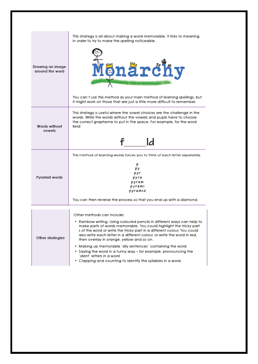| Drawing an image<br>around the word | This strategy is all about making a word memorable. It links to meaning<br>in order to try to make the spelling noticeable.<br>Mönärchy                                                                                                                                                                                                                                                                                                                                                                          |
|-------------------------------------|------------------------------------------------------------------------------------------------------------------------------------------------------------------------------------------------------------------------------------------------------------------------------------------------------------------------------------------------------------------------------------------------------------------------------------------------------------------------------------------------------------------|
|                                     | You can't use this method as your main method of learning spellings, but<br>it might work on those that are just a little more difficult to remember.                                                                                                                                                                                                                                                                                                                                                            |
| Words without<br>vowels             | This strategy is useful where the vowel choices are the challenge in the<br>words. Write the words without the vowels and pupils have to choose<br>the correct grapheme to put in the space. For example, for the word<br>field:<br>ld                                                                                                                                                                                                                                                                           |
|                                     |                                                                                                                                                                                                                                                                                                                                                                                                                                                                                                                  |
| Pyramid words                       | This method of learning words forces you to think of each letter separately.<br>p<br>pу<br>pyr<br>pyra<br>pyram<br>pyrami<br>pyramid                                                                                                                                                                                                                                                                                                                                                                             |
|                                     | You can then reverse the process so that you end up with a diamond.                                                                                                                                                                                                                                                                                                                                                                                                                                              |
| Other strategies                    | Other methods can include:<br>. Rainbow writing. Using coloured pencils in different ways can help to<br>make parts of words memorable. You could highlight the tricky part<br>s of the word or write the tricky part in a different colour. You could<br>also write each letter in a different colour, or write the word in red.<br>then overlay in orange, yellow and so on.<br>. Making up memorable 'silly sentences' containing the word<br>• Saying the word in a funny way – for example, pronouncing the |
|                                     | 'silent' letters in a word.                                                                                                                                                                                                                                                                                                                                                                                                                                                                                      |

• Clapping and counting to identify the syllables in a word.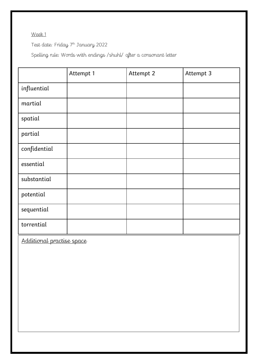Test date: Friday 7 th January 2022

Spelling rule: Words with endings /shuhl/ after a consonant letter

|                           | Attempt 1 | Attempt 2 | Attempt 3 |
|---------------------------|-----------|-----------|-----------|
| influential               |           |           |           |
| martial                   |           |           |           |
| spatial                   |           |           |           |
| partial                   |           |           |           |
| confidential              |           |           |           |
| essential                 |           |           |           |
| substantial               |           |           |           |
| potential                 |           |           |           |
| sequential                |           |           |           |
| torrential                |           |           |           |
| Additional practise space |           |           |           |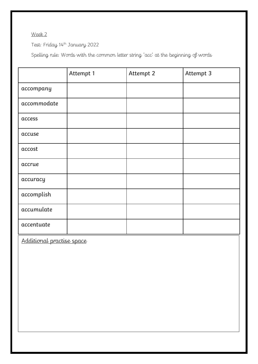Test: Friday 14th January 2022

Spelling rule: Words with the common letter string 'acc' at the beginning of words

|                           | Attempt 1 | Attempt 2 | Attempt 3 |
|---------------------------|-----------|-----------|-----------|
| accompany                 |           |           |           |
| accommodate               |           |           |           |
| access                    |           |           |           |
| accuse                    |           |           |           |
| accost                    |           |           |           |
| accrue                    |           |           |           |
| accuracy                  |           |           |           |
| accomplish                |           |           |           |
| accumulate                |           |           |           |
| accentuate                |           |           |           |
| Additional practise space |           |           |           |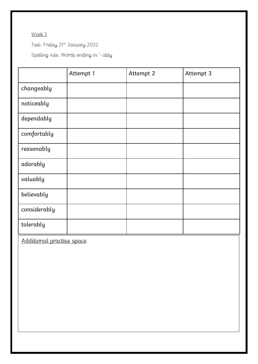Test: Friday 21st January 2022

Spelling rule: Words ending in '-ably

|                           | Attempt 1 | Attempt 2 | Attempt 3 |
|---------------------------|-----------|-----------|-----------|
| changeably                |           |           |           |
| noticeably                |           |           |           |
| dependably                |           |           |           |
| comfortably               |           |           |           |
| reasonably                |           |           |           |
| adorably                  |           |           |           |
| valuably                  |           |           |           |
| believably                |           |           |           |
| considerably              |           |           |           |
| tolerably                 |           |           |           |
| Additional practise space |           |           |           |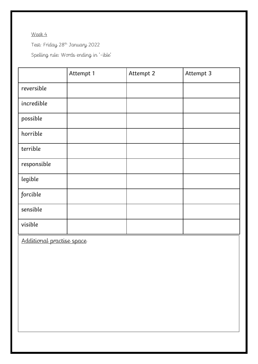Test: Friday 28th January 2022

Spelling rule: Words ending in '-ible'

| Attempt 1                 | Attempt 2 | Attempt 3 |  |
|---------------------------|-----------|-----------|--|
|                           |           |           |  |
|                           |           |           |  |
|                           |           |           |  |
|                           |           |           |  |
|                           |           |           |  |
|                           |           |           |  |
|                           |           |           |  |
|                           |           |           |  |
|                           |           |           |  |
|                           |           |           |  |
| Additional practise space |           |           |  |
|                           |           |           |  |
|                           |           |           |  |
|                           |           |           |  |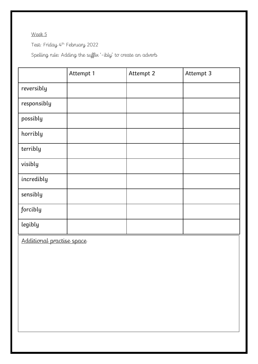Test: Friday 4 th February 2022

Spelling rule: Adding the suffix '-ibly' to create an adverb

|                           | Attempt 1 | Attempt 2 | Attempt 3 |
|---------------------------|-----------|-----------|-----------|
| reversibly                |           |           |           |
| responsibly               |           |           |           |
| possibly                  |           |           |           |
| horribly                  |           |           |           |
| terribly                  |           |           |           |
| visibly                   |           |           |           |
| incredibly                |           |           |           |
| sensibly                  |           |           |           |
| forcibly                  |           |           |           |
| legibly                   |           |           |           |
| Additional practise space |           |           |           |
|                           |           |           |           |
|                           |           |           |           |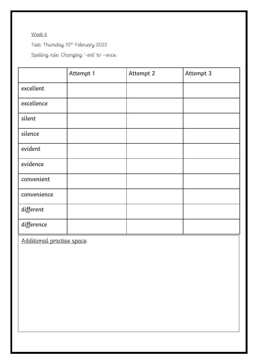Test: Thursday 10th February 2022

Spelling rule: Changing '-ent' to –ence.

|                           | Attempt 1 | Attempt 2 | Attempt 3 |
|---------------------------|-----------|-----------|-----------|
| excellent                 |           |           |           |
| excellence                |           |           |           |
| silent                    |           |           |           |
| silence                   |           |           |           |
| evident                   |           |           |           |
| evidence                  |           |           |           |
| convenient                |           |           |           |
| convenience               |           |           |           |
| different                 |           |           |           |
| difference                |           |           |           |
| Additional practise space |           |           |           |